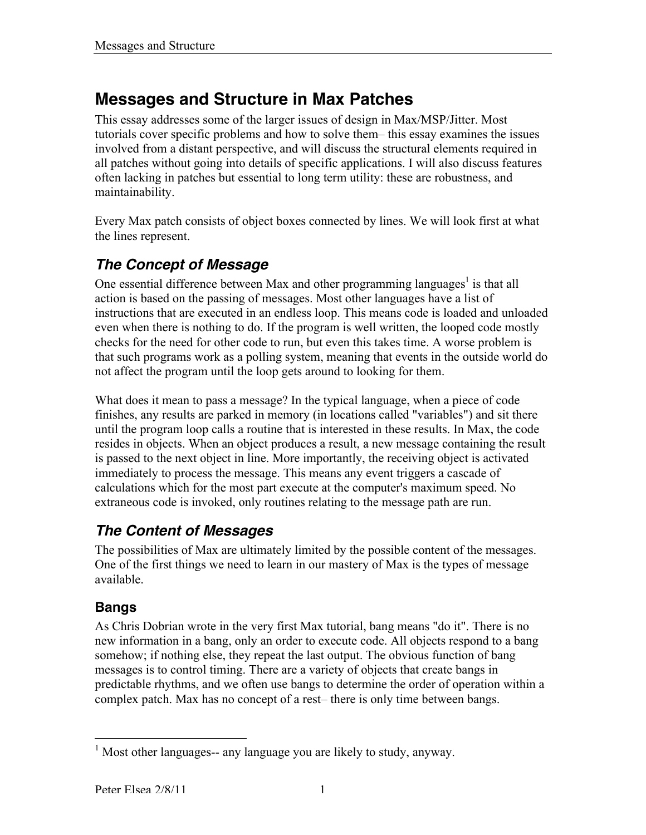# **Messages and Structure in Max Patches**

This essay addresses some of the larger issues of design in Max/MSP/Jitter. Most tutorials cover specific problems and how to solve them– this essay examines the issues involved from a distant perspective, and will discuss the structural elements required in all patches without going into details of specific applications. I will also discuss features often lacking in patches but essential to long term utility: these are robustness, and maintainability.

Every Max patch consists of object boxes connected by lines. We will look first at what the lines represent.

## *The Concept of Message*

One essential difference between Max and other programming languages<sup>1</sup> is that all action is based on the passing of messages. Most other languages have a list of instructions that are executed in an endless loop. This means code is loaded and unloaded even when there is nothing to do. If the program is well written, the looped code mostly checks for the need for other code to run, but even this takes time. A worse problem is that such programs work as a polling system, meaning that events in the outside world do not affect the program until the loop gets around to looking for them.

What does it mean to pass a message? In the typical language, when a piece of code finishes, any results are parked in memory (in locations called "variables") and sit there until the program loop calls a routine that is interested in these results. In Max, the code resides in objects. When an object produces a result, a new message containing the result is passed to the next object in line. More importantly, the receiving object is activated immediately to process the message. This means any event triggers a cascade of calculations which for the most part execute at the computer's maximum speed. No extraneous code is invoked, only routines relating to the message path are run.

## *The Content of Messages*

The possibilities of Max are ultimately limited by the possible content of the messages. One of the first things we need to learn in our mastery of Max is the types of message available.

## **Bangs**

As Chris Dobrian wrote in the very first Max tutorial, bang means "do it". There is no new information in a bang, only an order to execute code. All objects respond to a bang somehow; if nothing else, they repeat the last output. The obvious function of bang messages is to control timing. There are a variety of objects that create bangs in predictable rhythms, and we often use bangs to determine the order of operation within a complex patch. Max has no concept of a rest– there is only time between bangs.

 <sup>1</sup> Most other languages-- any language you are likely to study, anyway.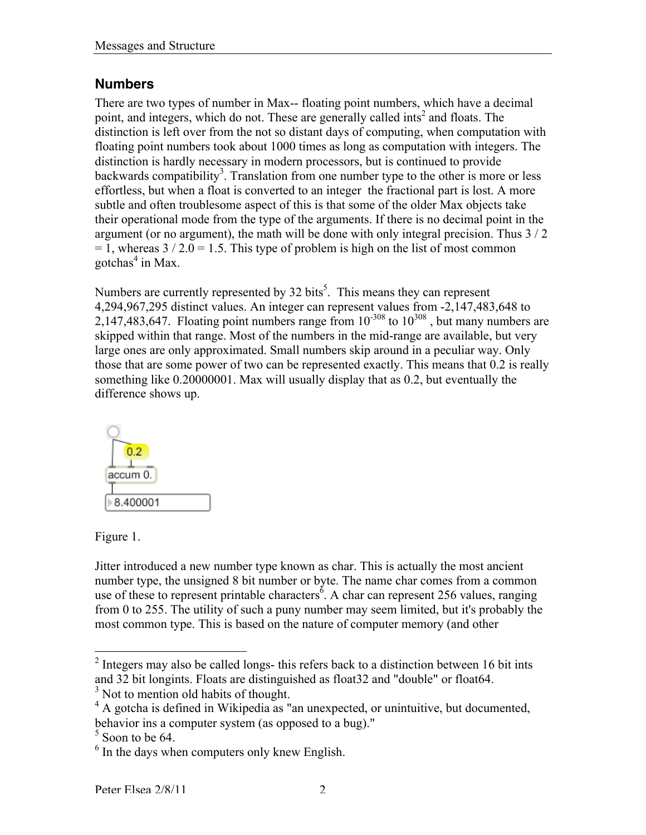#### **Numbers**

There are two types of number in Max-- floating point numbers, which have a decimal point, and integers, which do not. These are generally called ints<sup>2</sup> and floats. The distinction is left over from the not so distant days of computing, when computation with floating point numbers took about 1000 times as long as computation with integers. The distinction is hardly necessary in modern processors, but is continued to provide backwards compatibility<sup>3</sup>. Translation from one number type to the other is more or less effortless, but when a float is converted to an integer the fractional part is lost. A more subtle and often troublesome aspect of this is that some of the older Max objects take their operational mode from the type of the arguments. If there is no decimal point in the argument (or no argument), the math will be done with only integral precision. Thus 3 / 2  $= 1$ , whereas  $3 / 2.0 = 1.5$ . This type of problem is high on the list of most common gotchas<sup>4</sup> in Max.

Numbers are currently represented by  $32 \text{ bits}^5$ . This means they can represent 4,294,967,295 distinct values. An integer can represent values from -2,147,483,648 to 2,147,483,647. Floating point numbers range from  $10^{-308}$  to  $10^{308}$ , but many numbers are skipped within that range. Most of the numbers in the mid-range are available, but very large ones are only approximated. Small numbers skip around in a peculiar way. Only those that are some power of two can be represented exactly. This means that 0.2 is really something like 0.20000001. Max will usually display that as 0.2, but eventually the difference shows up.



Figure 1.

Jitter introduced a new number type known as char. This is actually the most ancient number type, the unsigned 8 bit number or byte. The name char comes from a common use of these to represent printable characters<sup> $\delta$ </sup>. A char can represent 256 values, ranging from 0 to 255. The utility of such a puny number may seem limited, but it's probably the most common type. This is based on the nature of computer memory (and other

<sup>3</sup> Not to mention old habits of thought.

<sup>&</sup>lt;sup>2</sup> Integers may also be called longs- this refers back to a distinction between 16 bit ints and 32 bit longints. Floats are distinguished as float32 and "double" or float64.

<sup>&</sup>lt;sup>4</sup> A gotcha is defined in Wikipedia as "an unexpected, or unintuitive, but documented, behavior ins a computer system (as opposed to a bug)."

 $<sup>5</sup>$  Soon to be 64.</sup>

 $<sup>6</sup>$  In the days when computers only knew English.</sup>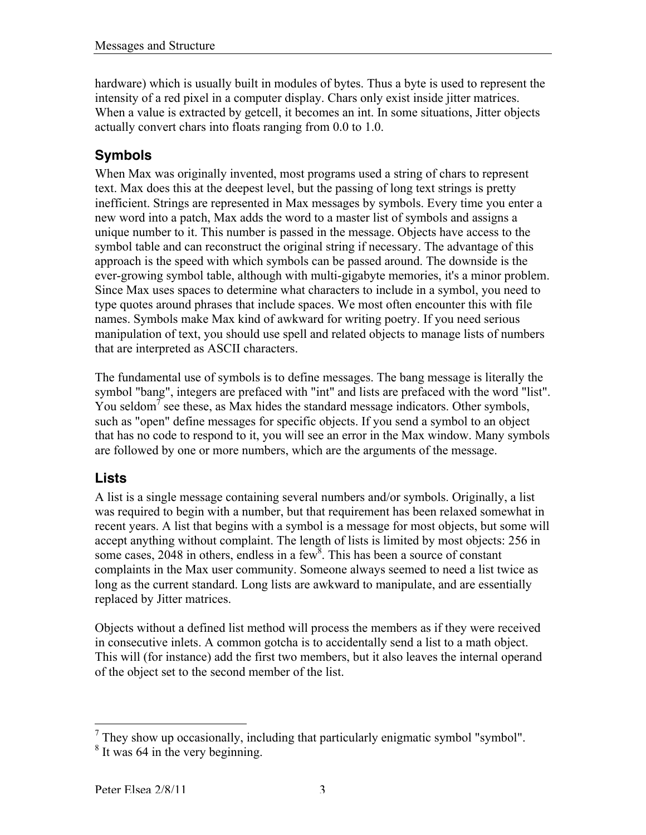hardware) which is usually built in modules of bytes. Thus a byte is used to represent the intensity of a red pixel in a computer display. Chars only exist inside jitter matrices. When a value is extracted by getcell, it becomes an int. In some situations, Jitter objects actually convert chars into floats ranging from 0.0 to 1.0.

## **Symbols**

When Max was originally invented, most programs used a string of chars to represent text. Max does this at the deepest level, but the passing of long text strings is pretty inefficient. Strings are represented in Max messages by symbols. Every time you enter a new word into a patch, Max adds the word to a master list of symbols and assigns a unique number to it. This number is passed in the message. Objects have access to the symbol table and can reconstruct the original string if necessary. The advantage of this approach is the speed with which symbols can be passed around. The downside is the ever-growing symbol table, although with multi-gigabyte memories, it's a minor problem. Since Max uses spaces to determine what characters to include in a symbol, you need to type quotes around phrases that include spaces. We most often encounter this with file names. Symbols make Max kind of awkward for writing poetry. If you need serious manipulation of text, you should use spell and related objects to manage lists of numbers that are interpreted as ASCII characters.

The fundamental use of symbols is to define messages. The bang message is literally the symbol "bang", integers are prefaced with "int" and lists are prefaced with the word "list". You seldom<sup>7</sup> see these, as Max hides the standard message indicators. Other symbols, such as "open" define messages for specific objects. If you send a symbol to an object that has no code to respond to it, you will see an error in the Max window. Many symbols are followed by one or more numbers, which are the arguments of the message.

#### **Lists**

A list is a single message containing several numbers and/or symbols. Originally, a list was required to begin with a number, but that requirement has been relaxed somewhat in recent years. A list that begins with a symbol is a message for most objects, but some will accept anything without complaint. The length of lists is limited by most objects: 256 in some cases,  $2048$  in others, endless in a few<sup>8</sup>. This has been a source of constant complaints in the Max user community. Someone always seemed to need a list twice as long as the current standard. Long lists are awkward to manipulate, and are essentially replaced by Jitter matrices.

Objects without a defined list method will process the members as if they were received in consecutive inlets. A common gotcha is to accidentally send a list to a math object. This will (for instance) add the first two members, but it also leaves the internal operand of the object set to the second member of the list.

<sup>&</sup>lt;sup>7</sup> They show up occasionally, including that particularly enigmatic symbol "symbol".

<sup>&</sup>lt;sup>8</sup> It was 64 in the very beginning.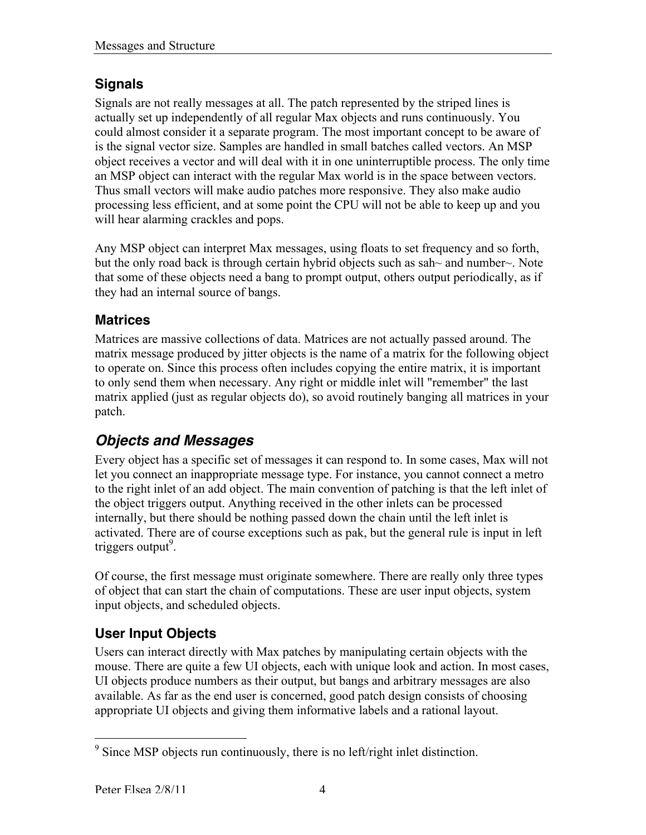## **Signals**

Signals are not really messages at all. The patch represented by the striped lines is actually set up independently of all regular Max objects and runs continuously. You could almost consider it a separate program. The most important concept to be aware of is the signal vector size. Samples are handled in small batches called vectors. An MSP object receives a vector and will deal with it in one uninterruptible process. The only time an MSP object can interact with the regular Max world is in the space between vectors. Thus small vectors will make audio patches more responsive. They also make audio processing less efficient, and at some point the CPU will not be able to keep up and you will hear alarming crackles and pops.

Any MSP object can interpret Max messages, using floats to set frequency and so forth, but the only road back is through certain hybrid objects such as sah~ and number~. Note that some of these objects need a bang to prompt output, others output periodically, as if they had an internal source of bangs.

#### **Matrices**

Matrices are massive collections of data. Matrices are not actually passed around. The matrix message produced by jitter objects is the name of a matrix for the following object to operate on. Since this process often includes copying the entire matrix, it is important to only send them when necessary. Any right or middle inlet will "remember" the last matrix applied (just as regular objects do), so avoid routinely banging all matrices in your patch.

## *Objects and Messages*

Every object has a specific set of messages it can respond to. In some cases, Max will not let you connect an inappropriate message type. For instance, you cannot connect a metro to the right inlet of an add object. The main convention of patching is that the left inlet of the object triggers output. Anything received in the other inlets can be processed internally, but there should be nothing passed down the chain until the left inlet is activated. There are of course exceptions such as pak, but the general rule is input in left triggers output<sup>9</sup>.

Of course, the first message must originate somewhere. There are really only three types of object that can start the chain of computations. These are user input objects, system input objects, and scheduled objects.

## **User Input Objects**

Users can interact directly with Max patches by manipulating certain objects with the mouse. There are quite a few UI objects, each with unique look and action. In most cases, UI objects produce numbers as their output, but bangs and arbitrary messages are also available. As far as the end user is concerned, good patch design consists of choosing appropriate UI objects and giving them informative labels and a rational layout.

<sup>&</sup>lt;sup>9</sup> Since MSP objects run continuously, there is no left/right inlet distinction.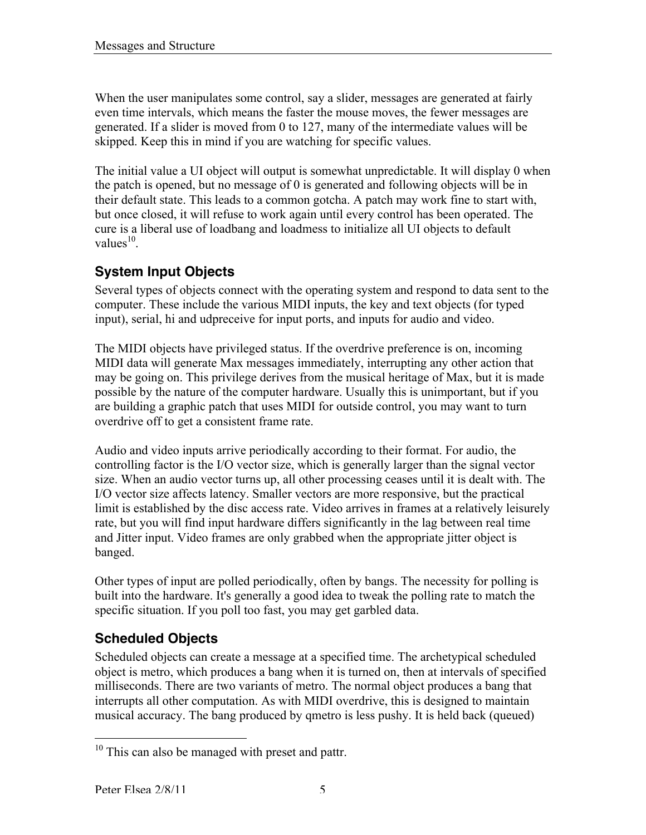When the user manipulates some control, say a slider, messages are generated at fairly even time intervals, which means the faster the mouse moves, the fewer messages are generated. If a slider is moved from 0 to 127, many of the intermediate values will be skipped. Keep this in mind if you are watching for specific values.

The initial value a UI object will output is somewhat unpredictable. It will display 0 when the patch is opened, but no message of 0 is generated and following objects will be in their default state. This leads to a common gotcha. A patch may work fine to start with, but once closed, it will refuse to work again until every control has been operated. The cure is a liberal use of loadbang and loadmess to initialize all UI objects to default values $^{10}$ .

## **System Input Objects**

Several types of objects connect with the operating system and respond to data sent to the computer. These include the various MIDI inputs, the key and text objects (for typed input), serial, hi and udpreceive for input ports, and inputs for audio and video.

The MIDI objects have privileged status. If the overdrive preference is on, incoming MIDI data will generate Max messages immediately, interrupting any other action that may be going on. This privilege derives from the musical heritage of Max, but it is made possible by the nature of the computer hardware. Usually this is unimportant, but if you are building a graphic patch that uses MIDI for outside control, you may want to turn overdrive off to get a consistent frame rate.

Audio and video inputs arrive periodically according to their format. For audio, the controlling factor is the I/O vector size, which is generally larger than the signal vector size. When an audio vector turns up, all other processing ceases until it is dealt with. The I/O vector size affects latency. Smaller vectors are more responsive, but the practical limit is established by the disc access rate. Video arrives in frames at a relatively leisurely rate, but you will find input hardware differs significantly in the lag between real time and Jitter input. Video frames are only grabbed when the appropriate jitter object is banged.

Other types of input are polled periodically, often by bangs. The necessity for polling is built into the hardware. It's generally a good idea to tweak the polling rate to match the specific situation. If you poll too fast, you may get garbled data.

## **Scheduled Objects**

Scheduled objects can create a message at a specified time. The archetypical scheduled object is metro, which produces a bang when it is turned on, then at intervals of specified milliseconds. There are two variants of metro. The normal object produces a bang that interrupts all other computation. As with MIDI overdrive, this is designed to maintain musical accuracy. The bang produced by qmetro is less pushy. It is held back (queued)

<sup>&</sup>lt;sup>10</sup> This can also be managed with preset and pattr.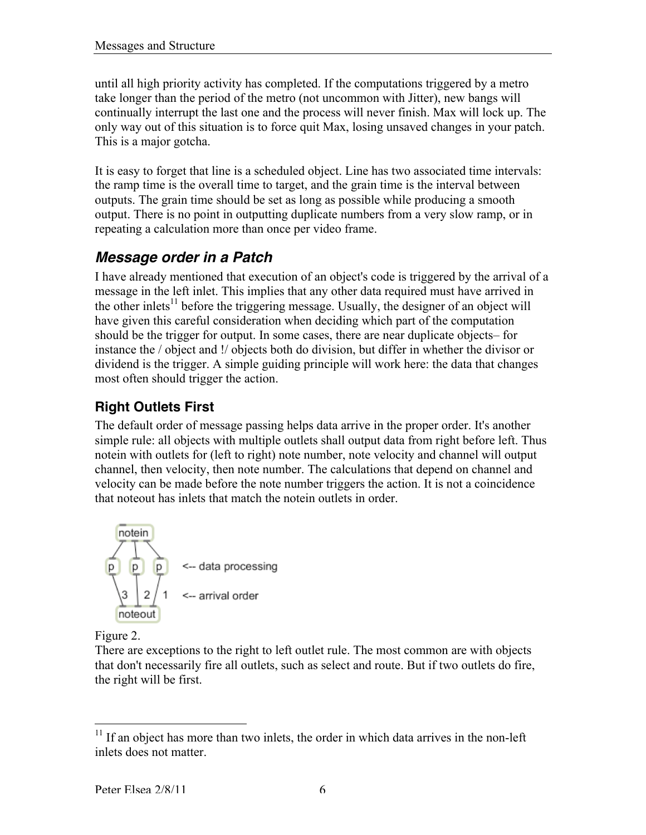until all high priority activity has completed. If the computations triggered by a metro take longer than the period of the metro (not uncommon with Jitter), new bangs will continually interrupt the last one and the process will never finish. Max will lock up. The only way out of this situation is to force quit Max, losing unsaved changes in your patch. This is a major gotcha.

It is easy to forget that line is a scheduled object. Line has two associated time intervals: the ramp time is the overall time to target, and the grain time is the interval between outputs. The grain time should be set as long as possible while producing a smooth output. There is no point in outputting duplicate numbers from a very slow ramp, or in repeating a calculation more than once per video frame.

## *Message order in a Patch*

I have already mentioned that execution of an object's code is triggered by the arrival of a message in the left inlet. This implies that any other data required must have arrived in the other inlets<sup>11</sup> before the triggering message. Usually, the designer of an object will have given this careful consideration when deciding which part of the computation should be the trigger for output. In some cases, there are near duplicate objects– for instance the / object and !/ objects both do division, but differ in whether the divisor or dividend is the trigger. A simple guiding principle will work here: the data that changes most often should trigger the action.

## **Right Outlets First**

The default order of message passing helps data arrive in the proper order. It's another simple rule: all objects with multiple outlets shall output data from right before left. Thus notein with outlets for (left to right) note number, note velocity and channel will output channel, then velocity, then note number. The calculations that depend on channel and velocity can be made before the note number triggers the action. It is not a coincidence that noteout has inlets that match the notein outlets in order.



Figure 2.

There are exceptions to the right to left outlet rule. The most common are with objects that don't necessarily fire all outlets, such as select and route. But if two outlets do fire, the right will be first.

<sup>&</sup>lt;sup>11</sup> If an object has more than two inlets, the order in which data arrives in the non-left inlets does not matter.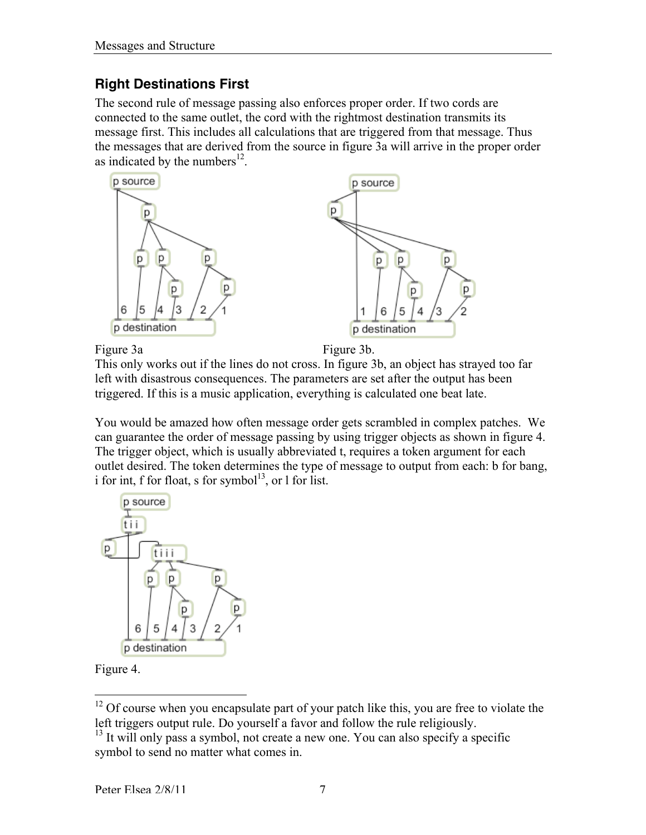### **Right Destinations First**

The second rule of message passing also enforces proper order. If two cords are connected to the same outlet, the cord with the rightmost destination transmits its message first. This includes all calculations that are triggered from that message. Thus the messages that are derived from the source in figure 3a will arrive in the proper order as indicated by the numbers $^{12}$ .



Figure 3a Figure 3b.

This only works out if the lines do not cross. In figure 3b, an object has strayed too far left with disastrous consequences. The parameters are set after the output has been triggered. If this is a music application, everything is calculated one beat late.

You would be amazed how often message order gets scrambled in complex patches. We can guarantee the order of message passing by using trigger objects as shown in figure 4. The trigger object, which is usually abbreviated t, requires a token argument for each outlet desired. The token determines the type of message to output from each: b for bang, i for int, f for float, s for symbol<sup>13</sup>, or 1 for list.



Figure 4.

<sup>&</sup>lt;sup>12</sup> Of course when you encapsulate part of your patch like this, you are free to violate the left triggers output rule. Do yourself a favor and follow the rule religiously.

<sup>&</sup>lt;sup>13</sup> It will only pass a symbol, not create a new one. You can also specify a specific symbol to send no matter what comes in.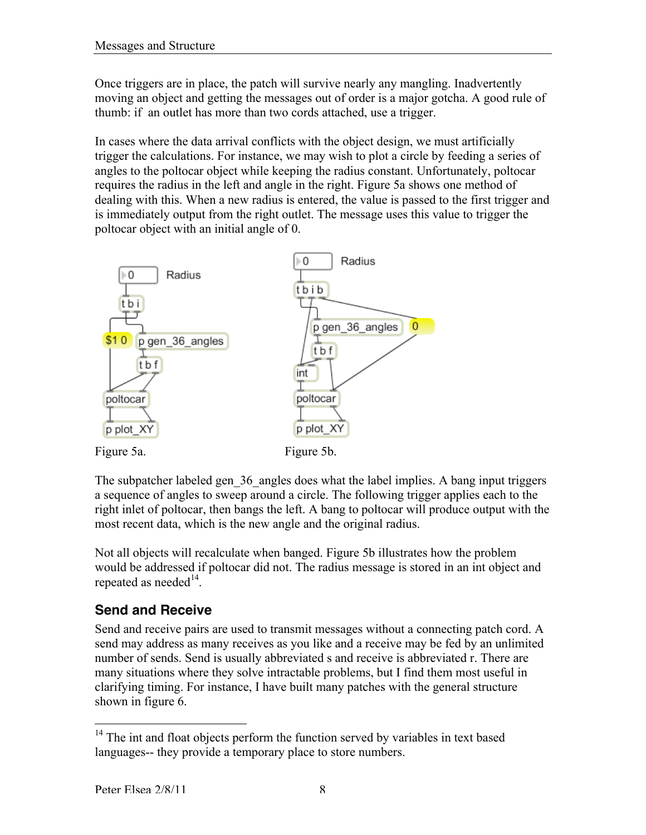Once triggers are in place, the patch will survive nearly any mangling. Inadvertently moving an object and getting the messages out of order is a major gotcha. A good rule of thumb: if an outlet has more than two cords attached, use a trigger.

In cases where the data arrival conflicts with the object design, we must artificially trigger the calculations. For instance, we may wish to plot a circle by feeding a series of angles to the poltocar object while keeping the radius constant. Unfortunately, poltocar requires the radius in the left and angle in the right. Figure 5a shows one method of dealing with this. When a new radius is entered, the value is passed to the first trigger and is immediately output from the right outlet. The message uses this value to trigger the poltocar object with an initial angle of 0.



The subpatcher labeled gen 36 angles does what the label implies. A bang input triggers a sequence of angles to sweep around a circle. The following trigger applies each to the right inlet of poltocar, then bangs the left. A bang to poltocar will produce output with the most recent data, which is the new angle and the original radius.

Not all objects will recalculate when banged. Figure 5b illustrates how the problem would be addressed if poltocar did not. The radius message is stored in an int object and repeated as needed $^{14}$ .

## **Send and Receive**

Send and receive pairs are used to transmit messages without a connecting patch cord. A send may address as many receives as you like and a receive may be fed by an unlimited number of sends. Send is usually abbreviated s and receive is abbreviated r. There are many situations where they solve intractable problems, but I find them most useful in clarifying timing. For instance, I have built many patches with the general structure shown in figure 6.

<sup>&</sup>lt;sup>14</sup> The int and float objects perform the function served by variables in text based languages-- they provide a temporary place to store numbers.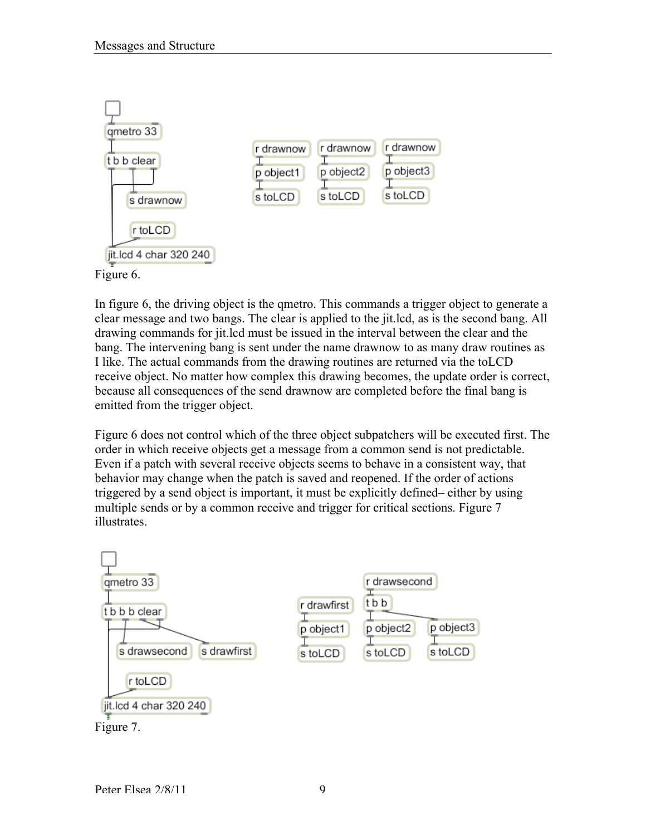

In figure 6, the driving object is the qmetro. This commands a trigger object to generate a clear message and two bangs. The clear is applied to the jit.lcd, as is the second bang. All drawing commands for jit.lcd must be issued in the interval between the clear and the bang. The intervening bang is sent under the name drawnow to as many draw routines as I like. The actual commands from the drawing routines are returned via the toLCD receive object. No matter how complex this drawing becomes, the update order is correct, because all consequences of the send drawnow are completed before the final bang is emitted from the trigger object.

Figure 6 does not control which of the three object subpatchers will be executed first. The order in which receive objects get a message from a common send is not predictable. Even if a patch with several receive objects seems to behave in a consistent way, that behavior may change when the patch is saved and reopened. If the order of actions triggered by a send object is important, it must be explicitly defined– either by using multiple sends or by a common receive and trigger for critical sections. Figure 7 illustrates.

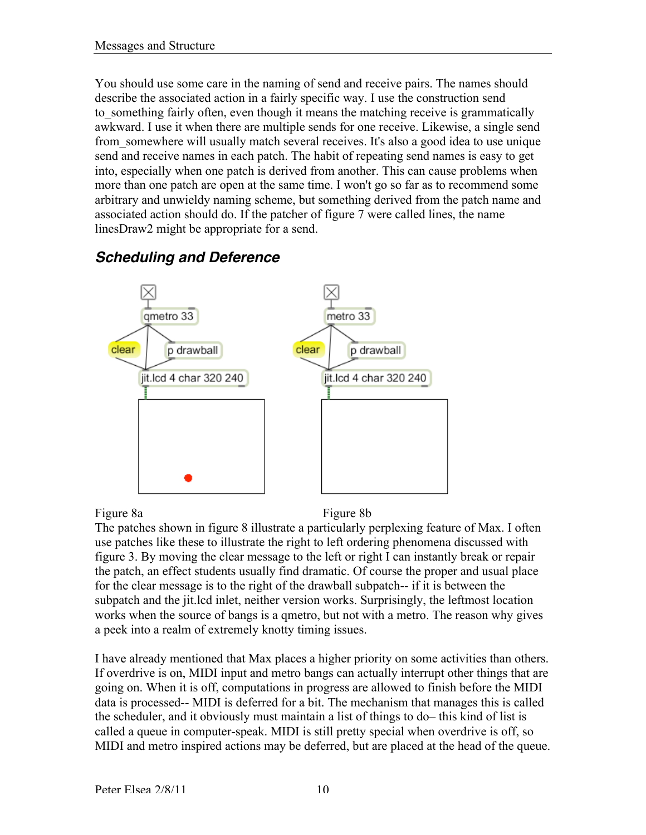You should use some care in the naming of send and receive pairs. The names should describe the associated action in a fairly specific way. I use the construction send to something fairly often, even though it means the matching receive is grammatically awkward. I use it when there are multiple sends for one receive. Likewise, a single send from\_somewhere will usually match several receives. It's also a good idea to use unique send and receive names in each patch. The habit of repeating send names is easy to get into, especially when one patch is derived from another. This can cause problems when more than one patch are open at the same time. I won't go so far as to recommend some arbitrary and unwieldy naming scheme, but something derived from the patch name and associated action should do. If the patcher of figure 7 were called lines, the name linesDraw2 might be appropriate for a send.



## *Scheduling and Deference*

Figure 8a Figure 8b

The patches shown in figure 8 illustrate a particularly perplexing feature of Max. I often use patches like these to illustrate the right to left ordering phenomena discussed with figure 3. By moving the clear message to the left or right I can instantly break or repair the patch, an effect students usually find dramatic. Of course the proper and usual place for the clear message is to the right of the drawball subpatch-- if it is between the subpatch and the jit.lcd inlet, neither version works. Surprisingly, the leftmost location works when the source of bangs is a qmetro, but not with a metro. The reason why gives a peek into a realm of extremely knotty timing issues.

I have already mentioned that Max places a higher priority on some activities than others. If overdrive is on, MIDI input and metro bangs can actually interrupt other things that are going on. When it is off, computations in progress are allowed to finish before the MIDI data is processed-- MIDI is deferred for a bit. The mechanism that manages this is called the scheduler, and it obviously must maintain a list of things to do– this kind of list is called a queue in computer-speak. MIDI is still pretty special when overdrive is off, so MIDI and metro inspired actions may be deferred, but are placed at the head of the queue.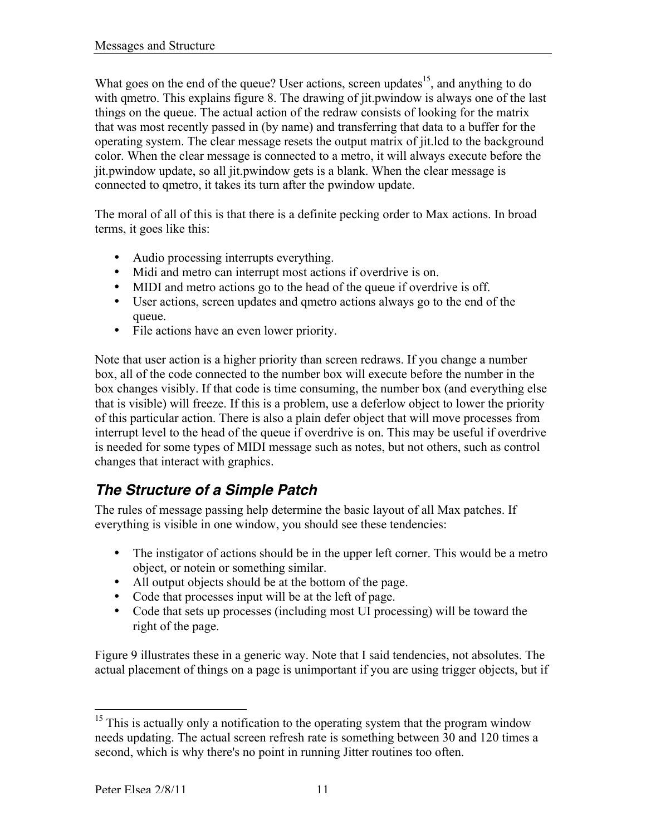What goes on the end of the queue? User actions, screen updates<sup>15</sup>, and anything to do with qmetro. This explains figure 8. The drawing of jit.pwindow is always one of the last things on the queue. The actual action of the redraw consists of looking for the matrix that was most recently passed in (by name) and transferring that data to a buffer for the operating system. The clear message resets the output matrix of jit.lcd to the background color. When the clear message is connected to a metro, it will always execute before the jit.pwindow update, so all jit.pwindow gets is a blank. When the clear message is connected to qmetro, it takes its turn after the pwindow update.

The moral of all of this is that there is a definite pecking order to Max actions. In broad terms, it goes like this:

- Audio processing interrupts everything.
- Midi and metro can interrupt most actions if overdrive is on.
- MIDI and metro actions go to the head of the queue if overdrive is off.
- User actions, screen updates and qmetro actions always go to the end of the queue.
- File actions have an even lower priority.

Note that user action is a higher priority than screen redraws. If you change a number box, all of the code connected to the number box will execute before the number in the box changes visibly. If that code is time consuming, the number box (and everything else that is visible) will freeze. If this is a problem, use a deferlow object to lower the priority of this particular action. There is also a plain defer object that will move processes from interrupt level to the head of the queue if overdrive is on. This may be useful if overdrive is needed for some types of MIDI message such as notes, but not others, such as control changes that interact with graphics.

## *The Structure of a Simple Patch*

The rules of message passing help determine the basic layout of all Max patches. If everything is visible in one window, you should see these tendencies:

- The instigator of actions should be in the upper left corner. This would be a metro object, or notein or something similar.
- All output objects should be at the bottom of the page.
- Code that processes input will be at the left of page.
- Code that sets up processes (including most UI processing) will be toward the right of the page.

Figure 9 illustrates these in a generic way. Note that I said tendencies, not absolutes. The actual placement of things on a page is unimportant if you are using trigger objects, but if

<sup>&</sup>lt;sup>15</sup> This is actually only a notification to the operating system that the program window needs updating. The actual screen refresh rate is something between 30 and 120 times a second, which is why there's no point in running Jitter routines too often.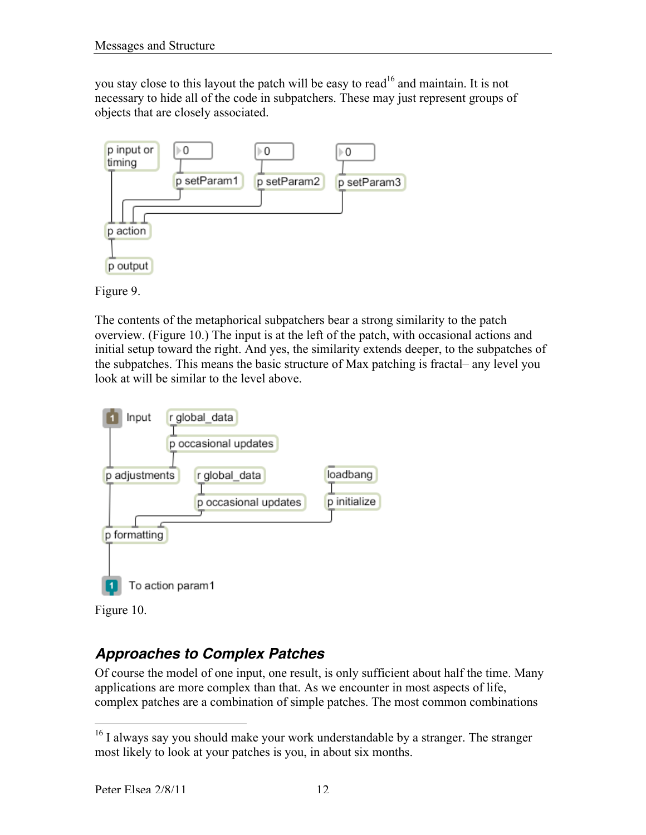you stay close to this layout the patch will be easy to read<sup>16</sup> and maintain. It is not necessary to hide all of the code in subpatchers. These may just represent groups of objects that are closely associated.





The contents of the metaphorical subpatchers bear a strong similarity to the patch overview. (Figure 10.) The input is at the left of the patch, with occasional actions and initial setup toward the right. And yes, the similarity extends deeper, to the subpatches of the subpatches. This means the basic structure of Max patching is fractal– any level you look at will be similar to the level above.





## *Approaches to Complex Patches*

Of course the model of one input, one result, is only sufficient about half the time. Many applications are more complex than that. As we encounter in most aspects of life, complex patches are a combination of simple patches. The most common combinations

<sup>&</sup>lt;sup>16</sup> I always say you should make your work understandable by a stranger. The stranger most likely to look at your patches is you, in about six months.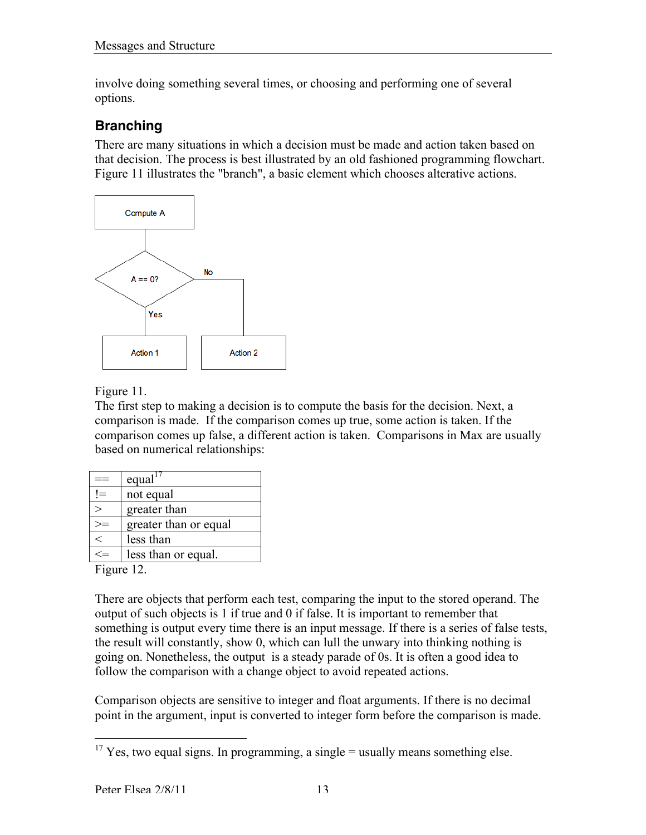involve doing something several times, or choosing and performing one of several options.

## **Branching**

There are many situations in which a decision must be made and action taken based on that decision. The process is best illustrated by an old fashioned programming flowchart. Figure 11 illustrates the "branch", a basic element which chooses alterative actions.



Figure 11.

The first step to making a decision is to compute the basis for the decision. Next, a comparison is made. If the comparison comes up true, some action is taken. If the comparison comes up false, a different action is taken. Comparisons in Max are usually based on numerical relationships:

|     | equal <sup>17</sup>   |
|-----|-----------------------|
| $=$ | not equal             |
|     | greater than          |
|     | greater than or equal |
| ∈   | less than             |
|     | less than or equal.   |

Figure 12.

There are objects that perform each test, comparing the input to the stored operand. The output of such objects is 1 if true and 0 if false. It is important to remember that something is output every time there is an input message. If there is a series of false tests, the result will constantly, show 0, which can lull the unwary into thinking nothing is going on. Nonetheless, the output is a steady parade of 0s. It is often a good idea to follow the comparison with a change object to avoid repeated actions.

Comparison objects are sensitive to integer and float arguments. If there is no decimal point in the argument, input is converted to integer form before the comparison is made.

 $\frac{17 \text{ Yes}}{17 \text{ Yes}}$ , two equal signs. In programming, a single = usually means something else.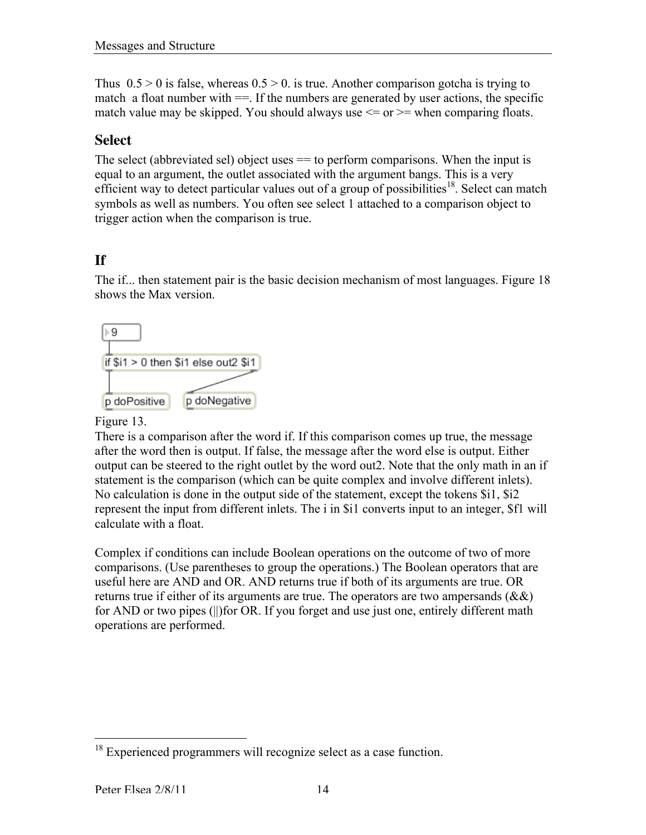Thus  $0.5 > 0$  is false, whereas  $0.5 > 0$  is true. Another comparison gotcha is trying to match a float number with  $==$ . If the numbers are generated by user actions, the specific match value may be skipped. You should always use  $\leq$  or  $\geq$  when comparing floats.

#### **Select**

The select (abbreviated sel) object uses  $=$  to perform comparisons. When the input is equal to an argument, the outlet associated with the argument bangs. This is a very efficient way to detect particular values out of a group of possibilities<sup>18</sup>. Select can match symbols as well as numbers. You often see select 1 attached to a comparison object to trigger action when the comparison is true.

## **If**

The if... then statement pair is the basic decision mechanism of most languages. Figure 18 shows the Max version.



#### Figure 13.

There is a comparison after the word if. If this comparison comes up true, the message after the word then is output. If false, the message after the word else is output. Either output can be steered to the right outlet by the word out2. Note that the only math in an if statement is the comparison (which can be quite complex and involve different inlets). No calculation is done in the output side of the statement, except the tokens \$i1, \$i2 represent the input from different inlets. The i in \$i1 converts input to an integer, \$f1 will calculate with a float.

Complex if conditions can include Boolean operations on the outcome of two of more comparisons. (Use parentheses to group the operations.) The Boolean operators that are useful here are AND and OR. AND returns true if both of its arguments are true. OR returns true if either of its arguments are true. The operators are two ampersands (&&) for AND or two pipes (||)for OR. If you forget and use just one, entirely different math operations are performed.

<sup>&</sup>lt;sup>18</sup> Experienced programmers will recognize select as a case function.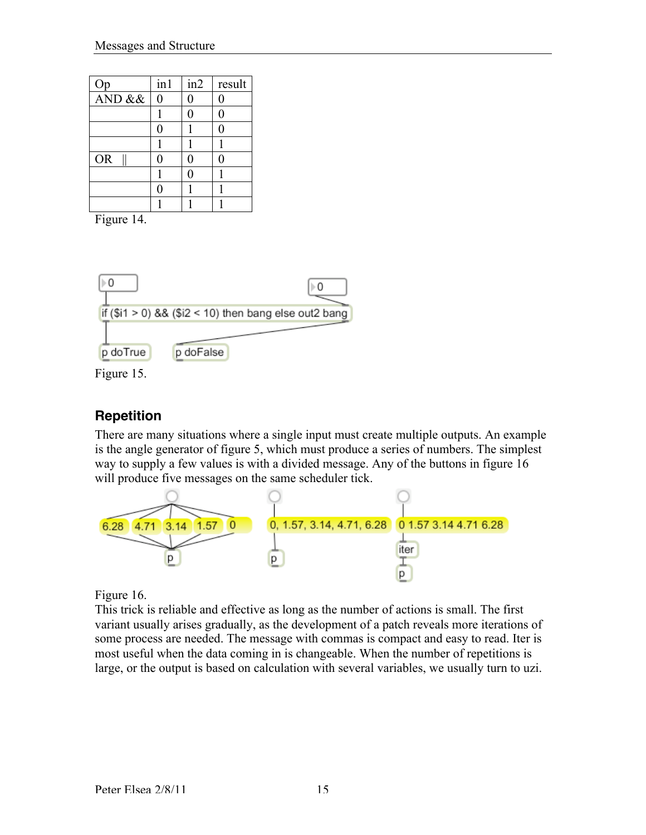| Qp        | in1            | in2          | result         |
|-----------|----------------|--------------|----------------|
| AND &&    | $\overline{0}$ | 0            | $\overline{0}$ |
|           |                | $\theta$     | 0              |
|           | 0              |              | 0              |
|           |                |              |                |
| <b>OR</b> | ⋂              | $\mathbf{0}$ |                |
|           |                |              |                |
|           | Λ              |              |                |
|           |                |              |                |

Figure 14.



Figure 15.

## **Repetition**

There are many situations where a single input must create multiple outputs. An example is the angle generator of figure 5, which must produce a series of numbers. The simplest way to supply a few values is with a divided message. Any of the buttons in figure 16 will produce five messages on the same scheduler tick.



Figure 16.

This trick is reliable and effective as long as the number of actions is small. The first variant usually arises gradually, as the development of a patch reveals more iterations of some process are needed. The message with commas is compact and easy to read. Iter is most useful when the data coming in is changeable. When the number of repetitions is large, or the output is based on calculation with several variables, we usually turn to uzi.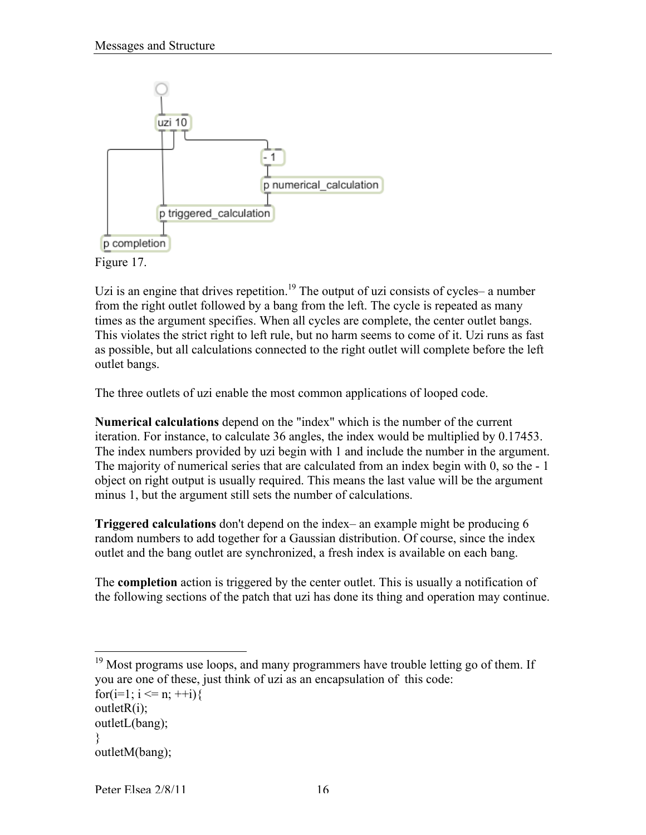

Figure 17.

Uzi is an engine that drives repetition.<sup>19</sup> The output of uzi consists of cycles- a number from the right outlet followed by a bang from the left. The cycle is repeated as many times as the argument specifies. When all cycles are complete, the center outlet bangs. This violates the strict right to left rule, but no harm seems to come of it. Uzi runs as fast as possible, but all calculations connected to the right outlet will complete before the left outlet bangs.

The three outlets of uzi enable the most common applications of looped code.

Numerical calculations depend on the "index" which is the number of the current iteration. For instance, to calculate 36 angles, the index would be multiplied by 0.17453. The index numbers provided by uzi begin with 1 and include the number in the argument. The majority of numerical series that are calculated from an index begin with 0, so the - 1 object on right output is usually required. This means the last value will be the argument minus 1, but the argument still sets the number of calculations.

Triggered calculations don't depend on the index– an example might be producing 6 random numbers to add together for a Gaussian distribution. Of course, since the index outlet and the bang outlet are synchronized, a fresh index is available on each bang.

The completion action is triggered by the center outlet. This is usually a notification of the following sections of the patch that uzi has done its thing and operation may continue.

for(i=1; i <= n; ++i){

<sup>&</sup>lt;sup>19</sup> Most programs use loops, and many programmers have trouble letting go of them. If you are one of these, just think of uzi as an encapsulation of this code:

 $outletR(i);$ 

outletL(bang);

<sup>}</sup>

outletM(bang);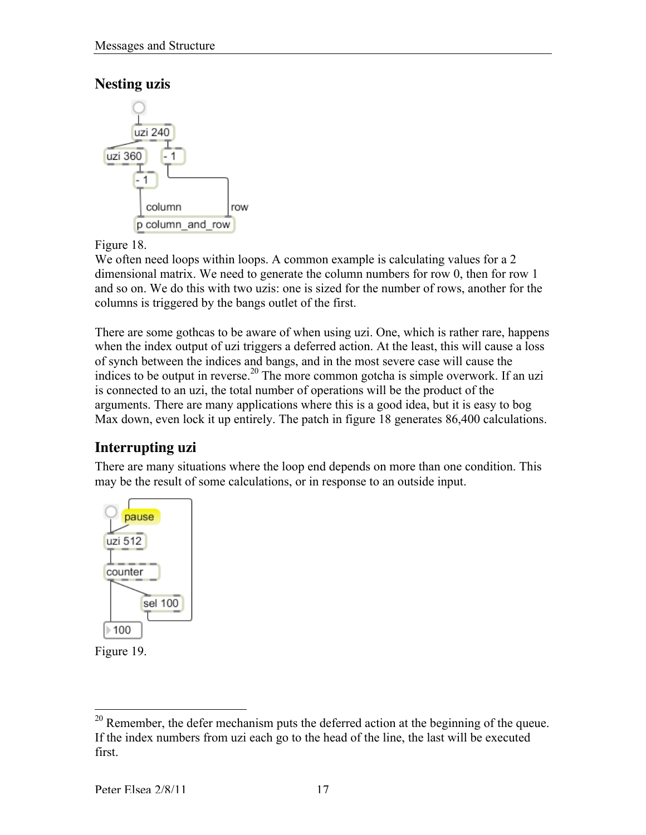### **Nesting uzis**



Figure 18.

We often need loops within loops. A common example is calculating values for a 2 dimensional matrix. We need to generate the column numbers for row 0, then for row 1 and so on. We do this with two uzis: one is sized for the number of rows, another for the columns is triggered by the bangs outlet of the first.

There are some gothcas to be aware of when using uzi. One, which is rather rare, happens when the index output of uzi triggers a deferred action. At the least, this will cause a loss of synch between the indices and bangs, and in the most severe case will cause the indices to be output in reverse.<sup>20</sup> The more common gotcha is simple overwork. If an uzi is connected to an uzi, the total number of operations will be the product of the arguments. There are many applications where this is a good idea, but it is easy to bog Max down, even lock it up entirely. The patch in figure 18 generates 86,400 calculations.

## **Interrupting uzi**

There are many situations where the loop end depends on more than one condition. This may be the result of some calculations, or in response to an outside input.





<sup>&</sup>lt;sup>20</sup> Remember, the defer mechanism puts the deferred action at the beginning of the queue. If the index numbers from uzi each go to the head of the line, the last will be executed first.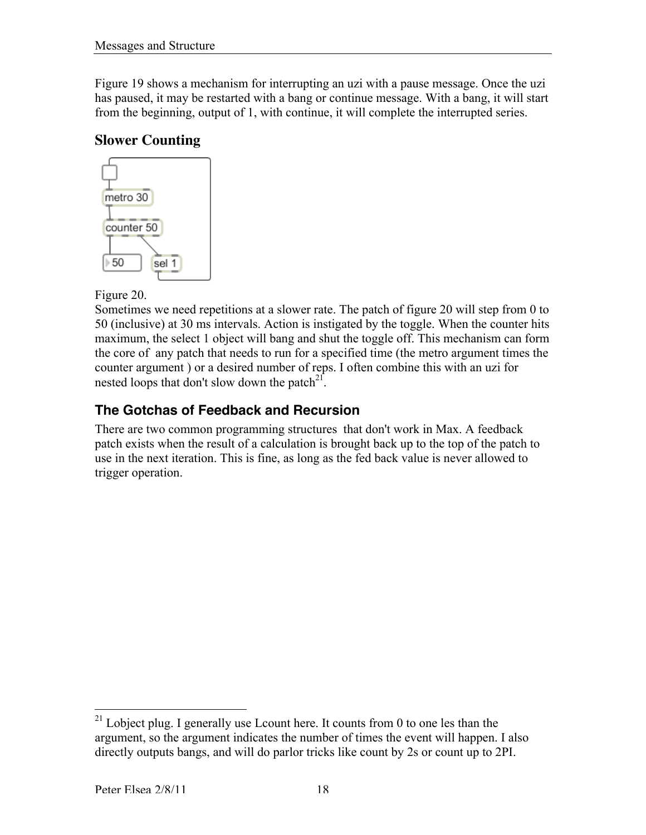Figure 19 shows a mechanism for interrupting an uzi with a pause message. Once the uzi has paused, it may be restarted with a bang or continue message. With a bang, it will start from the beginning, output of 1, with continue, it will complete the interrupted series.

#### **Slower Counting**



Figure 20.

Sometimes we need repetitions at a slower rate. The patch of figure 20 will step from 0 to 50 (inclusive) at 30 ms intervals. Action is instigated by the toggle. When the counter hits maximum, the select 1 object will bang and shut the toggle off. This mechanism can form the core of any patch that needs to run for a specified time (the metro argument times the counter argument ) or a desired number of reps. I often combine this with an uzi for nested loops that don't slow down the patch $^{21}$ .

#### **The Gotchas of Feedback and Recursion**

There are two common programming structures that don't work in Max. A feedback patch exists when the result of a calculation is brought back up to the top of the patch to use in the next iteration. This is fine, as long as the fed back value is never allowed to trigger operation.

<sup>&</sup>lt;sup>21</sup> Lobject plug. I generally use Lcount here. It counts from 0 to one les than the argument, so the argument indicates the number of times the event will happen. I also directly outputs bangs, and will do parlor tricks like count by 2s or count up to 2PI.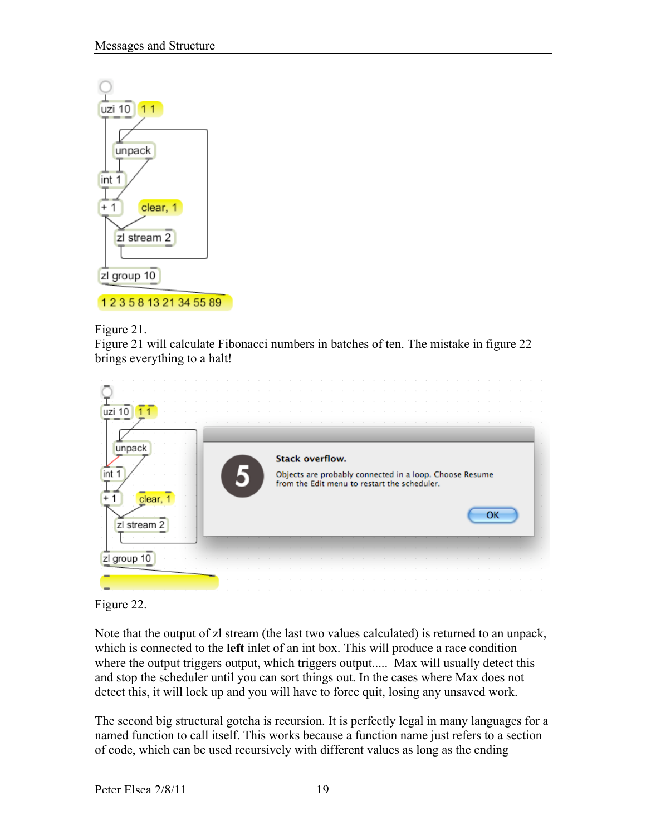

Figure 21.

Figure 21 will calculate Fibonacci numbers in batches of ten. The mistake in figure 22 brings everything to a halt!



Figure 22.

Note that the output of zl stream (the last two values calculated) is returned to an unpack, which is connected to the **left** inlet of an int box. This will produce a race condition where the output triggers output, which triggers output..... Max will usually detect this and stop the scheduler until you can sort things out. In the cases where Max does not detect this, it will lock up and you will have to force quit, losing any unsaved work.

The second big structural gotcha is recursion. It is perfectly legal in many languages for a named function to call itself. This works because a function name just refers to a section of code, which can be used recursively with different values as long as the ending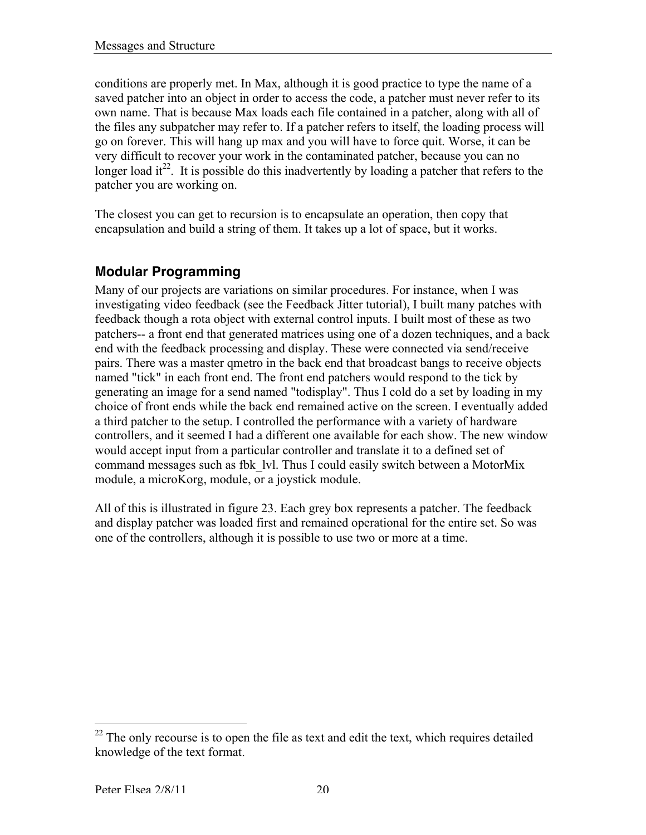conditions are properly met. In Max, although it is good practice to type the name of a saved patcher into an object in order to access the code, a patcher must never refer to its own name. That is because Max loads each file contained in a patcher, along with all of the files any subpatcher may refer to. If a patcher refers to itself, the loading process will go on forever. This will hang up max and you will have to force quit. Worse, it can be very difficult to recover your work in the contaminated patcher, because you can no longer load it<sup>22</sup>. It is possible do this inadvertently by loading a patcher that refers to the patcher you are working on.

The closest you can get to recursion is to encapsulate an operation, then copy that encapsulation and build a string of them. It takes up a lot of space, but it works.

#### **Modular Programming**

Many of our projects are variations on similar procedures. For instance, when I was investigating video feedback (see the Feedback Jitter tutorial), I built many patches with feedback though a rota object with external control inputs. I built most of these as two patchers-- a front end that generated matrices using one of a dozen techniques, and a back end with the feedback processing and display. These were connected via send/receive pairs. There was a master qmetro in the back end that broadcast bangs to receive objects named "tick" in each front end. The front end patchers would respond to the tick by generating an image for a send named "todisplay". Thus I cold do a set by loading in my choice of front ends while the back end remained active on the screen. I eventually added a third patcher to the setup. I controlled the performance with a variety of hardware controllers, and it seemed I had a different one available for each show. The new window would accept input from a particular controller and translate it to a defined set of command messages such as fbk\_lvl. Thus I could easily switch between a MotorMix module, a microKorg, module, or a joystick module.

All of this is illustrated in figure 23. Each grey box represents a patcher. The feedback and display patcher was loaded first and remained operational for the entire set. So was one of the controllers, although it is possible to use two or more at a time.

 $\frac{22}{2}$  The only recourse is to open the file as text and edit the text, which requires detailed knowledge of the text format.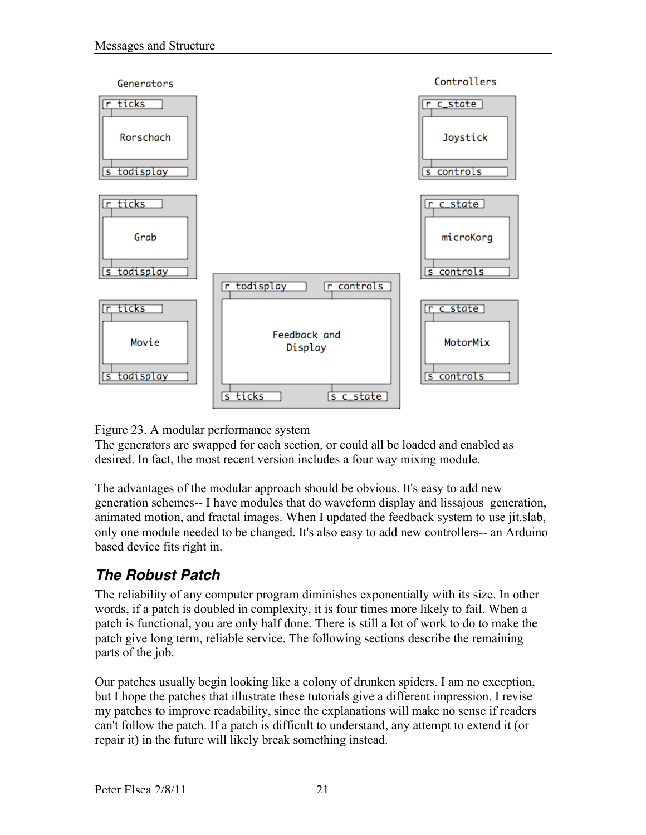



The generators are swapped for each section, or could all be loaded and enabled as desired. In fact, the most recent version includes a four way mixing module.

The advantages of the modular approach should be obvious. It's easy to add new generation schemes-- I have modules that do waveform display and lissajous generation, animated motion, and fractal images. When I updated the feedback system to use jit.slab, only one module needed to be changed. It's also easy to add new controllers-- an Arduino based device fits right in.

## *The Robust Patch*

The reliability of any computer program diminishes exponentially with its size. In other words, if a patch is doubled in complexity, it is four times more likely to fail. When a patch is functional, you are only half done. There is still a lot of work to do to make the patch give long term, reliable service. The following sections describe the remaining parts of the job.

Our patches usually begin looking like a colony of drunken spiders. I am no exception, but I hope the patches that illustrate these tutorials give a different impression. I revise my patches to improve readability, since the explanations will make no sense if readers can't follow the patch. If a patch is difficult to understand, any attempt to extend it (or repair it) in the future will likely break something instead.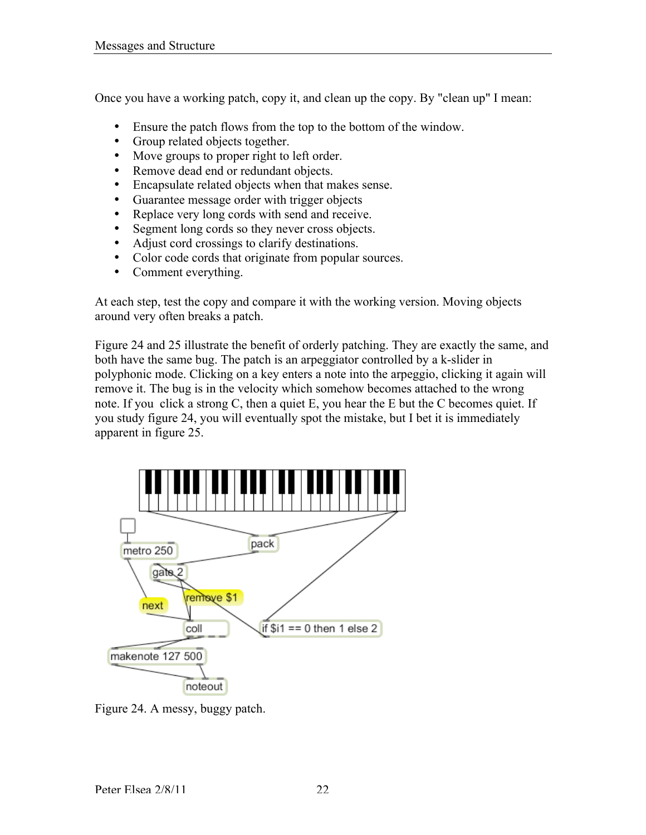Once you have a working patch, copy it, and clean up the copy. By "clean up" I mean:

- Ensure the patch flows from the top to the bottom of the window.
- Group related objects together.
- Move groups to proper right to left order.
- Remove dead end or redundant objects.
- Encapsulate related objects when that makes sense.
- Guarantee message order with trigger objects
- Replace very long cords with send and receive.
- Segment long cords so they never cross objects.
- Adjust cord crossings to clarify destinations.
- Color code cords that originate from popular sources.<br>• Comment everything
- Comment everything.

At each step, test the copy and compare it with the working version. Moving objects around very often breaks a patch.

Figure 24 and 25 illustrate the benefit of orderly patching. They are exactly the same, and both have the same bug. The patch is an arpeggiator controlled by a k-slider in polyphonic mode. Clicking on a key enters a note into the arpeggio, clicking it again will remove it. The bug is in the velocity which somehow becomes attached to the wrong note. If you click a strong C, then a quiet E, you hear the E but the C becomes quiet. If you study figure 24, you will eventually spot the mistake, but I bet it is immediately apparent in figure 25.



Figure 24. A messy, buggy patch.